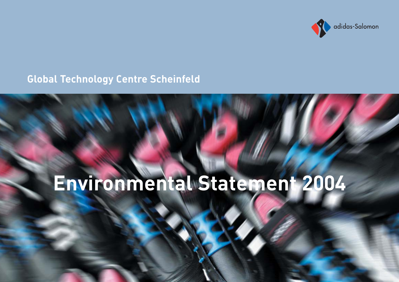

# **Global Technology Centre Scheinfeld**

# **Environmental Statement 2004**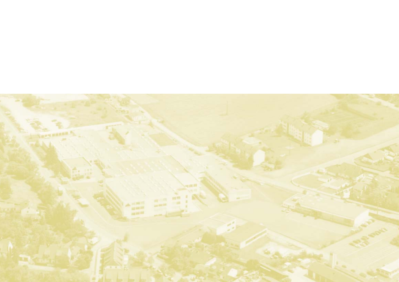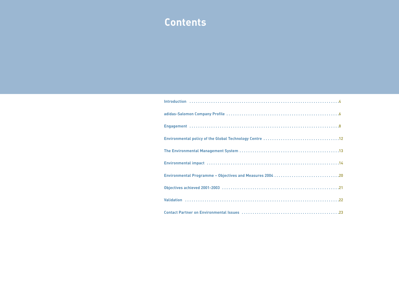# **Contents**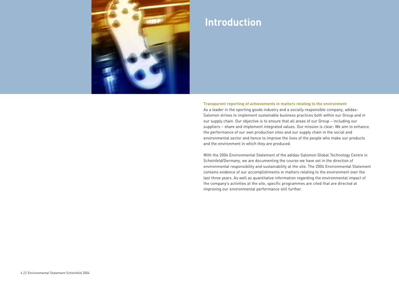

### **Introduction**

**Transparent reporting of achievements in matters relating to the environment**

As a leader in the sporting goods industry and a socially responsible company, adidas-Salomon strives to implement sustainable business practices both within our Group and in our supply chain. Our objective is to ensure that all areas of our Group – including our suppliers – share and implement integrated values. Our mission is clear: We aim to enhance the performance of our own production sites and our supply chain in the social and environmental sector and hence to improve the lives of the people who make our products and the environment in which they are produced.

With the 2004 Environmental Statement of the adidas-Salomon Global Technology Centre in Scheinfeld/Germany, we are documenting the course we have set in the direction of environmental responsibility and sustainability at the site. The 2004 Environmental Statement contains evidence of our accomplishments in matters relating to the environment over the last three years. As well as quantitative information regarding the environmental impact of the company's activities at the site, specific programmes are cited that are directed at improving our environmental performance still further.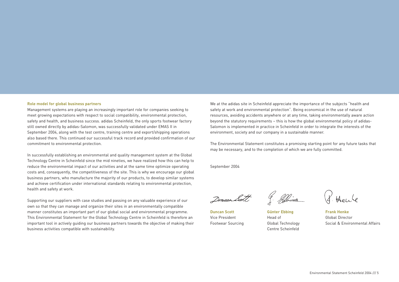#### **Role model for global business partners**

Management systems are playing an increasingly important role for companies seeking to meet growing expectations with respect to social compatibility, environmental protection, safety and health, and business success. adidas Scheinfeld, the only sports footwear factory still owned directly by adidas-Salomon, was successfully validated under EMAS II in September 2004, along with the test centre, training centre and export/shipping operations also based there. This continued our successful track record and provided confirmation of our commitment to environmental protection.

In successfully establishing an environmental and quality management system at the Global Technology Centre in Scheinfeld since the mid nineties, we have realized how this can help to reduce the environmental impact of our activities and at the same time optimize operating costs and, consequently, the competitiveness of the site. This is why we encourage our global business partners, who manufacture the majority of our products, to develop similar systems and achieve certification under international standards relating to environmental protection, health and safety at work.

Supporting our suppliers with case studies and passing on any valuable experience of our own so that they can manage and organize their sites in an environmentally compatible manner constitutes an important part of our global social and environmental programme. This Environmental Statement for the Global Technology Centre in Scheinfeld is therefore an important tool in actively guiding our business partners towards the objective of making their business activities compatible with sustainability.

We at the adidas site in Scheinfeld appreciate the importance of the subjects "health and safety at work and environmental protection". Being economical in the use of natural resources, avoiding accidents anywhere or at any time, taking environmentally aware action beyond the statutory requirements – this is how the global environmental policy of adidas-Salomon is implemented in practice in Scheinfeld in order to integrate the interests of the environment, society and our company in a sustainable manner.

The Environmental Statement constitutes a promising starting point for any future tasks that may be necessary, and to the completion of which we are fully committed.

September 2004

Dinan Satt

**Duncan Scott** Vice President Footwear Sourcing

& Allis

**Günter Ebbing** Head of

Global Technology Centre Scheinfeld

**Frank Henke**

Global Director Social & Environmental Affairs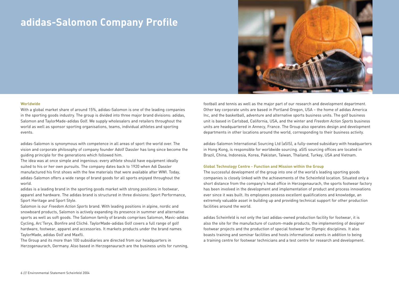## **adidas-Salomon Company Profile**



#### **Worldwide**

With a global market share of around 15%, adidas-Salomon is one of the leading companies in the sporting goods industry. The group is divided into three major brand divisions: adidas, Salomon and TaylorMade-adidas Golf. We supply wholesalers and retailers throughout the world as well as sponsor sporting organisations, teams, individual athletes and sporting events.

adidas-Salomon is synonymous with competence in all areas of sport the world over. The vision and corporate philosophy of company founder Adolf Dassler has long since become the guiding principle for the generations which followed him.

The idea was at once simple and ingenious: every athlete should have equipment ideally suited to his or her own pursuits. The company dates back to 1920 when Adi Dassler manufactured his first shoes with the few materials that were available after WWI. Today, adidas-Salomon offers a wide range of brand goods for all sports enjoyed throughout the world.

adidas is a leading brand in the sporting goods market with strong positions in footwear, apparel and hardware. The adidas brand is structured in three divisions: Sport Performance, Sport Heritage and Sport Style.

Salomon is our Freedom Action Sports brand. With leading positions in alpine, nordic and snowboard products, Salomon is actively expanding its presence in summer and alternative sports as well as soft goods. The Salomon family of brands comprises Salomon, Mavic-adidas Cycling, Arc'Teryx, Bonfire and Cliché. TaylorMade-adidas Golf covers a full range of golf hardware, footwear, apparel and accessories. It markets products under the brand names TaylorMade, adidas Golf and Maxfli.

The Group and its more than 100 subsidiaries are directed from our headquarters in Herzogenaurach, Germany. Also based in Herzogenaurach are the business units for running, football and tennis as well as the major part of our research and development department. Other key corporate units are based in Portland Oregon, USA – the home of adidas America Inc, and the basketball, adventure and alternative sports business units. The golf business unit is based in Carlsbad, California, USA, and the winter and Freedom Action Sports business units are headquartered in Annecy, France. The Group also operates design and development departments in other locations around the world, corresponding to their business activity.

adidas-Salomon International Sourcing Ltd (aSIS), a fully-owned subsidiary with headquarters in Hong Kong, is responsible for worldwide sourcing. aSIS sourcing offices are located in Brazil, China, Indonesia, Korea, Pakistan, Taiwan, Thailand, Turkey, USA and Vietnam.

#### **Global Technology Centre - Function and Mission within the Group**

The successful development of the group into one of the world's leading sporting goods companies is closely linked with the achievements of the Scheinfeld location. Situated only a short distance from the company's head office in Herzogenaurach, the sports footwear factory has been involved in the development and implementation of product and process innovations ever since it was built. Its employees possess excellent qualifications and knowledge, an extremely valuable asset in building up and providing technical support for other production facilities around the world.

adidas Scheinfeld is not only the last adidas-owned production facility for footwear, it is also the site for the manufacture of custom-made products, the implementing of designer footwear projects and the production of special footwear for Olympic disciplines. It also boasts training and seminar facilities and hosts informational events in addition to being a training centre for footwear technicians and a test centre for research and development.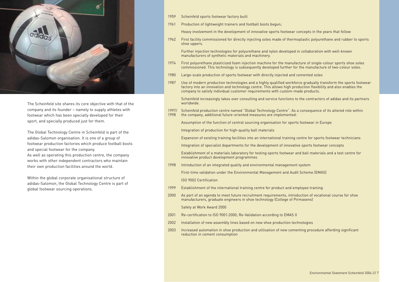

The Scheinfeld site shares its core objective with that of the company and its founder – namely to supply athletes with footwear which has been specially developed for their sport, and specially produced just for them.

The Global Technology Centre in Scheinfeld is part of the adidas-Salomon organisation. It is one of a group of footwear production factories which produce football boots and special footwear for the company. As well as operating this production centre, the company works with other independent contractors who maintain their own production facilities around the world.

Within the global corporate organisational structure of adidas-Salomon, the Global Technology Centre is part of global footwear sourcing operations.

- 1959 Scheinfeld sports footwear factory built
- 1961 Production of lightweight trainers and football boots begun;

Heavy involvement in the development of innovative sports footwear concepts in the years that follow

1962 First facility commissioned for directly injecting soles made of thermoplastic polyurethane and rubber to sports shoe uppers.

Further injection technologies for polyurethane and nylon developed in collaboration with well-known manufacturers of synthetic materials and machinery.

- 1974 First polyurethane plasticized foam injection machine for the manufacture of single-colour sports shoe soles commissioned. This technology is subsequently developed further for the manufacture of two-colour soles.
- 1980 Large-scale production of sports footwear with directly injected and cemented soles
- 1987 Use of modern production technologies and a highly qualified workforce gradually transform the sports footwear factory into an innovation and technology centre. This allows high production flexibility and also enables the company to satisfy individual customer requirements with custom-made products.

Scheinfeld increasingly takes over consulting and service functions to the contractors of adidas and its partners worldwide.

- 1997/ Scheinfeld production centre named "Global Technology Centre". As a consequence of its altered role within 1998 the company, additional future-oriented measures are implemented:
	-

Assumption of the function of central sourcing organisation for sports footwear in Europe

Integration of production for high-quality ball materials

Expansion of existing training facilities into an international training centre for sports footwear technicians

Integration of specialist departments for the development of innovative sports footwear concepts

Establishment of a materials laboratory for testing sports footwear and ball materials and a test centre for innovative product development programmes

1998 Introduction of an integrated quality and environmental management system

First-time validation under the Environmental Management and Audit Scheme (EMAS)

ISO 9002 Certification

- 1999 Establishment of the international training centre for product and employee training
- 2000 As part of an agenda to meet future recruitment requirements, introduction of vocational course for shoe manufacturers, graduate engineers in shoe technology (College of Pirmasens)

Safety at Work Award 2000

- 2001 Re-certification to ISO 9001:2000; Re-Validation according to EMAS II
- 2002 Installation of new assembly lines based on new shoe production technologies
- 2003 Increased automation in shoe production and utilisation of new cementing procedure affording significant reduction in cement consumption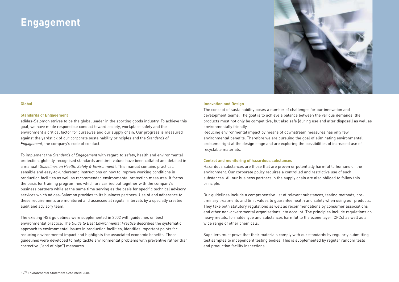### **Engagement**



#### **Innovation and Design**

The concept of sustainability poses a number of challenges for our innovation and development teams. The goal is to achieve a balance between the various demands: the products must not only be competitive, but also safe (during use and after disposal) as well as environmentally friendly.

Reducing environmental impact by means of downstream measures has only few environmental benefits. Therefore we are pursuing the goal of eliminating environmental problems right at the design stage and are exploring the possibilities of increased use of recyclable materials.

#### **Control and monitoring of hazardous substances**

Hazardous substances are those that are proven or potentially harmful to humans or the environment. Our corporate policy requires a controlled and restrictive use of such substances. All our business partners in the supply chain are also obliged to follow this principle.

Our guidelines include a comprehensive list of relevant substances, testing methods, preliminary treatments and limit values to guarantee health and safety when using our products. They take both statutory regulations as well as recommendations by consumer associations and other non-governmental organisations into account. The principles include regulations on heavy metals, formaldehyde and substances harmful to the ozone layer (CFCs) as well as a wide range of other chemicals.

Suppliers must prove that their materials comply with our standards by regularly submitting test samples to independent testing bodies. This is supplemented by regular random tests and production facility inspections.

#### **Global**

#### **Standards of Engagement**

adidas-Salomon strives to be the global leader in the sporting goods industry. To achieve this goal, we have made responsible conduct toward society, workplace safety and the environment a critical factor for ourselves and our supply chain. Our progress is measured against the yardstick of our corporate sustainability principles and the Standards of Engagement, the company's code of conduct.

To implement the Standards of Engagement with regard to safety, health and environmental protection, globally-recognised standards and limit values have been collated and detailed in a manual (Guidelines on Health, Safety & Environment). This manual contains practical, sensible and easy-to-understand instructions on how to improve working conditions in production facilities as well as recommended environmental protection measures. It forms the basis for training programmes which are carried out together with the company's business partners while at the same time serving as the basis for specific technical advisory services which adidas-Salomon provides to its business partners. Use of and adherence to these requirements are monitored and assessed at regular intervals by a specially created audit and advisory team.

The existing HSE guidelines were supplemented in 2002 with guidelines on best environmental practice. The Guide to Best Environmental Practice describes the systematic approach to environmental issues in production facilities, identifies important points for reducing environmental impact and highlights the associated economic benefits. These guidelines were developed to help tackle environmental problems with preventive rather than corrective ("end of pipe") measures.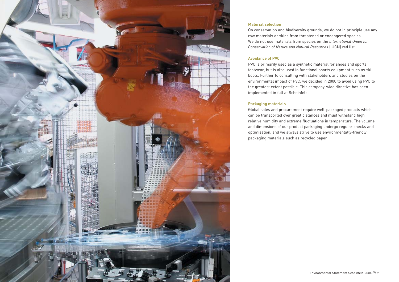

### **Material selection**

On conservation and biodiversity grounds, we do not in principle use any raw materials or skins from threatened or endangered species. We do not use materials from species on the International Union for Conservation of Nature and Natural Resources (IUCN) red list.

### **Avoidance of PVC**

PVC is primarily used as a synthetic material for shoes and sports footwear, but is also used in functional sports equipment such as ski boots. Further to consulting with stakeholders and studies on the environmental impact of PVC, we decided in 2000 to avoid using PVC to the greatest extent possible. This company-wide directive has been implemented in full at Scheinfeld.

### **Packaging materials**

Global sales and procurement require well-packaged products which can be transported over great distances and must withstand high relative humidity and extreme fluctuations in temperature. The volume and dimensions of our product packaging undergo regular checks and optimisation, and we always strive to use environmentally-friendly packaging materials such as recycled paper.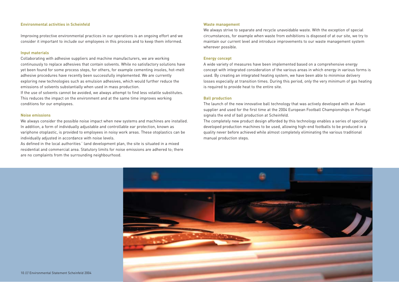#### **Environmental activities in Scheinfeld**

Improving protective environmental practices in our operations is an ongoing effort and we consider it important to include our employees in this process and to keep them informed.

#### **Input materials**

Collaborating with adhesive suppliers and machine manufacturers, we are working continuously to replace adhesives that contain solvents. While no satisfactory solutions have yet been found for some process steps, for others, for example cementing insoles, hot-melt adhesive procedures have recently been successfully implemented. We are currently exploring new technologies such as emulsion adhesives, which would further reduce the emissions of solvents substantially when used in mass production.

If the use of solvents cannot be avoided, we always attempt to find less volatile substitutes. This reduces the impact on the environment and at the same time improves working conditions for our employees.

#### **Noise emissions**

We always consider the possible noise impact when new systems and machines are installed. In addition, a form of individually adjustable and controllable ear protection, known as variphone otoplastic, is provided to employees in noisy work areas. These otoplastics can be individually adjusted in accordance with noise levels.

As defined in the local authorities´ land development plan, the site is situated in a mixed residential and commercial area. Statutory limits for noise emissions are adhered to; there are no complaints from the surrounding neighbourhood.

#### **Waste management**

We always strive to separate and recycle unavoidable waste. With the exception of special circumstances, for example when waste from exhibitions is disposed of at our site, we try to maintain our current level and introduce improvements to our waste management system wherever possible.

#### **Energy concept**

A wide variety of measures have been implemented based on a comprehensive energy concept with integrated consideration of the various areas in which energy in various forms is used. By creating an integrated heating system, we have been able to minimise delivery losses especially at transition times. During this period, only the very minimum of gas heating is required to provide heat to the entire site.

#### **Ball production**

The launch of the new innovative ball technology that was actively developed with an Asian supplier and used for the first time at the 2004 European Football Championships in Portugal signals the end of ball production at Scheinfeld.

The completely new product design afforded by this technology enables a series of specially developed production machines to be used, allowing high-end footballs to be produced in a quality never before achieved while almost completely eliminating the various traditional manual production steps.

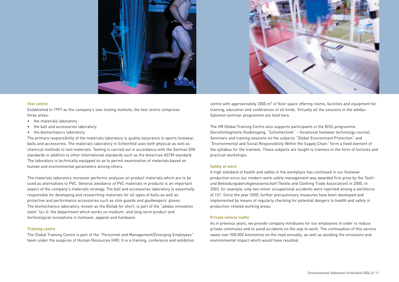

#### **Test centre**

Established in 1997 as the company's own testing institute, the test centre comprises three areas:

- the materials laboratory
- the ball and accessories laboratory
- the biomechanics laboratory

The primary responsibility of the materials laboratory is quality assurance in sports footwear, balls and accessories. The materials laboratory in Scheinfeld uses both physical as well as chemical methods to test materials. Testing is carried out in accordance with the German DIN standards in addition to other international standards such as the American ASTM standard. The laboratory is technically equipped so as to permit examination of materials based on human and environmental parameters among others.

The materials laboratory moreover performs analyses on product materials which are to be used as alternatives to PVC. General avoidance of PVC materials in products is an important aspect of the company's materials strategy. The ball and accessories laboratory is essentially responsible for developing and researching materials for all types of balls as well as protective and performance accessories such as shin guards and goalkeepers' gloves. The biomechanics laboratory, known as the Biolab for short, is part of the "adidas innovation team" (a.i.t): the department which works on medium- and long-term product and technological innovations in footwear, apparel and hardware.

#### **Training centre**

The Global Training Centre is part of the "Personnel and Management/Emerging Employees" team under the auspices of Human Resources (HR). It is a training, conference and exhibition



centre with approximately 2000  $m^2$  of floor space offering rooms, facilities and equipment for training, education and conferences of all kinds. Virtually all the sessions in the adidas-Salomon seminar programme are held here.

The HR Global Training Centre also supports participants in the BISS programme (berufsintegrierte Studiengang, "Schuhtechnik" – Vocational footwear technology course). Seminars and training sessions on the subjects "Global Environment Protection" and "Environmental and Social Responsibility Within the Supply Chain" form a fixed element of the syllabus for the trainees. These subjects are taught to trainees in the form of lectures and practical workshops.

#### **Safety at work**

A high standard of health and safety in the workplace has continued in our footwear production since our modern work safety management was awarded first prize by the *Textilund Bekleidungsberufsgenossenschaft* (Textile and Clothing Trade Association) in 2000. In 2003, for example, only two minor occupational accidents were reported among a workforce of 121. Since the year 2000, further precautionary measures have been developed and implemented by means of regularly checking for potential dangers to health and safety in production-related working areas.

#### **Private vehicle traffic**

As in previous years, we provide company minibuses for our employees in order to reduce private commutes and to avoid accidents on the way to work. The continuation of this service saves over 500,000 kilometres on the road annually, as well as avoiding the emissions and environmental impact which would have resulted.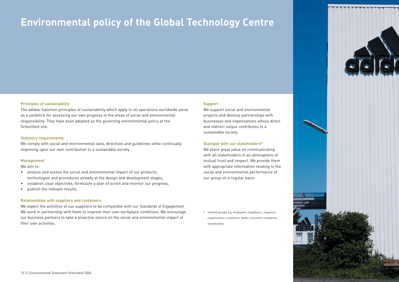# **Environmental policy of the Global Technology Centre**

#### **Principles of sustainability**

The adidas-Salomon principles of sustainability which apply to all operations worldwide serve as a yardstick for assessing our own progress in the areas of social and environmental responsibility. They have been adopted as the governing environmental policy at the Scheinfeld site.

#### **Statutory requirements**

We comply with social and environmental laws, directives and guidelines while continually improving upon our own contribution to a sustainable society.

#### **Management**

We aim to:

- analyse and assess the social and environmental impact of our products, technologies and procedures already at the design and development stages,
- establish clear objectives, formulate a plan of action and monitor our progress,
- •publish the relevant results.

#### **Relationships with suppliers and customers**

We expect the activities of our suppliers to be compatible with our Standards of Engagement. We work in partnership with them to improve their own workplace conditions. We encourage our business partners to take a proactive stance on the social and environmental impact of their own activities.

#### **Support**

We support social and environmental projects and develop partnerships with businesses and organisations whose direct and indirect output contributes to a sustainable society.

#### **Dialogue with our stakeholders\***

We place great value on communicating with all stakeholders in an atmosphere of mutual trust and respect. We provide them with appropriate information relating to the social and environmental performance of our group on a regular basis.

\* Interest groups e.g. employees, neighbours, suppliers, organisations, customers, banks, insurance companies, shareholders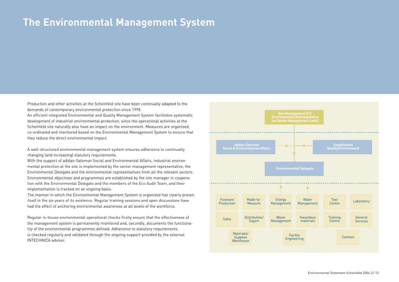### **The Environmental Management System**

Production and other activities at the Scheinfeld site have been continually adapted to the demands of contemporary environmental protection since 1998.

An efficient integrated Environmental and Quality Management System facilitates systematic development of industrial environmental protection, since the operational activities at the Scheinfeld site naturally also have an impact on the environment. Measures are organised, co-ordinated and monitored based on the Environmental Management System to ensure that they reduce the direct environmental impact.

A well-structured environmental management system ensures adherence to continually changing (and increasing) statutory requirements.

With the support of adidas-Salomon Social and Environmental Affairs, industrial environmental protection at the site is implemented by the senior management representative, the Environmental Delegate and the environmental representatives from all the relevant sectors. Environmental objectives and programmes are established by the site manager in cooperation with the Environmental Delegate and the members of the Eco Audit Team, and their implementation is tracked on an ongoing basis.

The manner in which the Environmental Management System is organised has clearly proven itself in the six years of its existence. Regular training sessions and open discussions have had the effect of anchoring environmental awareness at all levels of the workforce.

Regular in-house environmental operational checks firstly ensure that the effectiveness of the management system is permanently monitored and, secondly, documents the functionality of the environmental programmes defined. Adherence to statutory requirements is checked regularly and validated through the ongoing support provided by the external INTECHNICA adviser.

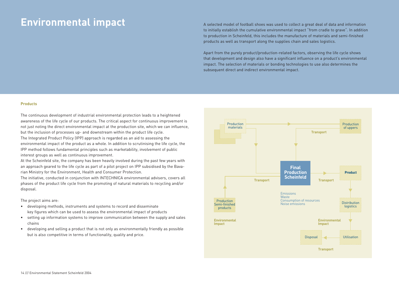### **Environmental impact**

A selected model of football shoes was used to collect a great deal of data and information to initially establish the cumulative environmental impact "from cradle to grave". In addition to production in Scheinfeld, this includes the manufacture of materials and semi-finished products as well as transport along the supplies chain and sales logistics.

Apart from the purely product/production-related factors, observing the life cycle shows that development and design also have a significant influence on a product's environmental impact. The selection of materials or bonding technologies to use also determines the subsequent direct and indirect environmental impact.

#### **Products**

The continuous development of industrial environmental protection leads to a heightened awareness of the life cycle of our products. The critical aspect for continuous improvement is not just noting the direct environmental impact at the production site, which we can influence, but the inclusion of processes up- and downstream within the product life cycle. The Integrated Product Policy (IPP) approach is regarded as an aid to assessing the environmental impact of the product as a whole. In addition to scrutinising the life cycle, the

IPP method follows fundamental principles such as marketability, involvement of public interest groups as well as continuous improvement.

At the Scheinfeld site, the company has been heavily involved during the past few years with an approach geared to the life cycle as part of a pilot project on IPP subsidised by the Bavarian Ministry for the Environment, Health and Consumer Protection.

The initiative, conducted in conjunction with INTECHNICA environmental advisers, covers all phases of the product life cycle from the promoting of natural materials to recycling and/or disposal.

The project aims are:

- developing methods, instruments and systems to record and disseminate key figures which can be used to assess the environmental impact of products
- • setting up information systems to improve communication between the supply and sales chains
- • developing and selling a product that is not only as environmentally friendly as possible but is also competitive in terms of functionality, quality and price.

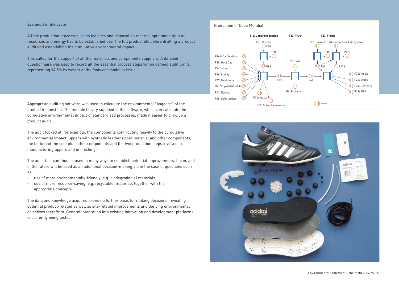#### **Eco audit of life cycle**

All the production processes, sales logistics and disposal as regards input and output of resources and energy had to be established over the full product life before drafting a product audit and establishing the cumulative environmental impact.

This called for the support of all the materials and components suppliers. A detailed questionnaire was used to record all the essential process steps within defined audit limits, representing 94.5% by weight of the footwear model at issue.

Appropriate auditing software was used to calculate the environmental "baggage" of the product in question. The module library supplied in the software, which can calculate the cumulative environmental impact of standardised processes, made it easier to draw up a product audit.

The audit looked at, for example, the components contributing heavily to the cumulative environmental impact: uppers with synthetic leather upper material and other components, the bottom of the sole plus other components and the two production steps involved in manufacturing uppers and in finishing.

The audit tool can thus be used in many ways to establish potential improvements. It can, and in the future will be used as an additional decision-making aid in the case of questions such as:

- use of more environmentally-friendly (e.g. biodegradable) materials;
- use of more resource-saving (e.g. recyclable) materials together with the appropriate concepts.

The data and knowledge acquired provide a further basis for making decisions, revealing potential product-related as well as site-related improvements and deriving environmental objectives therefrom. General integration into existing innovation and development platforms is currently being tested.

#### Production of Copa Mundial



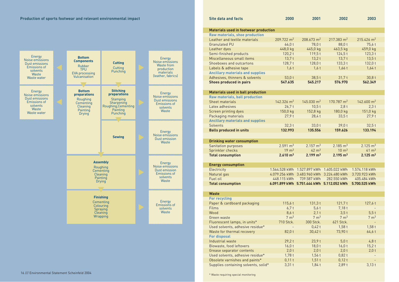### **Production of sports footwear and relevant environmental impact**



| <b>Site data and facts</b>                   | 2000                     | 2001                                      | 2002                        | 2003                     |
|----------------------------------------------|--------------------------|-------------------------------------------|-----------------------------|--------------------------|
| <b>Materials used in footwear production</b> |                          |                                           |                             |                          |
| Raw materials, shoe production               |                          |                                           |                             |                          |
| Leather and textile materials                | $209.722 \text{ m}^2$    | $208.673 \text{ m}^2$                     | 217.383 $m2$                | $215.426$ m <sup>2</sup> |
| <b>Granulated PU</b>                         | 66,0t                    | 78,0 t                                    | 88,0t                       | 75.6 t                   |
| Leather dyes                                 | 448,0 kg                 | 445,0 kg                                  | 463,5 kg                    | 459,0 kg                 |
| Semi-finished products                       | 120,2 t                  | 119.5t                                    | 124.5t                      | 123,3t                   |
| Miscellaneous small items                    | 13.7t                    | 13.2 t                                    | 13,7t                       | 13,5t                    |
| Shoeboxes and outcartons                     | 128,7t                   | 128,0t                                    | 133,3t                      | 132,0t                   |
| Labels & adhesive tape                       | 1.6t                     | $1,6$ t                                   | $1,66$ t                    | $1,64$ t                 |
| <b>Ancillary materials and supplies</b>      |                          |                                           |                             |                          |
| Adhesives, thinners & solvents               | 53,0 t                   | 38,5t                                     | 31,7t                       | 30,8t                    |
| <b>Shoes produced in pairs</b>               | 547.635                  | 545.217                                   | 576.970                     | 562.349                  |
| <b>Materials used in ball production</b>     |                          |                                           |                             |                          |
| Raw materials, ball production               |                          |                                           |                             |                          |
| Sheet materials                              | 142.326 m <sup>2</sup>   | 145.030 m <sup>2</sup>                    | 170.787 $m2$                | $142.600 \text{ m}^2$    |
| Latex adhesives                              | 26.7t                    | 10.5t                                     | 2,8t                        | 2.3t                     |
| Screen printing dyes                         | 150,0 kg                 | 152,8 kg                                  | 180,0 kg                    | 151,0 kg                 |
| Packaging materials                          | $27,9$ t                 | 28,4t                                     | 33,5t                       | 27,9t                    |
| <b>Ancillary materials and supplies</b>      |                          |                                           |                             |                          |
| Solvents                                     | 32,3t                    | 33,0t                                     | 39,0t                       | 32,5t                    |
| <b>Balls produced in units</b>               | 132.993                  | 135.556                                   | 159.626                     | 133.194                  |
|                                              |                          |                                           |                             |                          |
| <b>Drinking water consumption</b>            |                          |                                           |                             |                          |
| <b>Sanitation purposes</b>                   | $2.591 \text{ m}^3$      | $2.157 \text{ m}^3$                       | 2.185 $m3$                  | 2.125 $m3$               |
| Sprinkler checks                             | $19 \text{ m}^3$         | $42 \text{ m}^3$                          | $10 \text{ m}^3$            | 41 $m3$                  |
| <b>Total consumption</b>                     | $2.610 \text{ m}^3$      | $2.199 \text{ m}^3$                       | $2.195 \text{ m}^3$         | $2.125 \text{ m}^3$      |
|                                              |                          |                                           |                             |                          |
| <b>Energy consumption</b>                    |                          |                                           |                             |                          |
| Electricity                                  |                          | 1.564.528 kWh 1.527.897 kWh 1.605.022 kWh |                             | 1.574.118 kWh            |
| Natural gas                                  | 4.079.256 kWh            |                                           | 3.483.960 kWh 3.224.480 kWh | 3.720.923 kWh            |
| Fuel oil                                     | 448.115 kWh              | 739.587 kWh                               | 282.550 kWh                 | 405.484 kWh              |
| <b>Total consumption</b>                     |                          | 6.091.899 kWh 5.751.444 kWh 5.112.052 kWh |                             | 5.700.525 kWh            |
| <b>Waste</b>                                 |                          |                                           |                             |                          |
| For recycling                                |                          |                                           |                             |                          |
| Paper & cardboard packaging                  | 115,6t                   | 131,3t                                    | 121,7t                      | 127,6t                   |
| <b>Films</b>                                 | 6.7t                     | $5,6$ t                                   | 7.18t                       |                          |
| Wood                                         | $8,6$ t                  | 2.1t                                      | 3.5t                        | 5.5t                     |
| Green waste                                  | $7 \text{ m}^3$          | 7 m <sup>3</sup>                          | $7 \text{ m}^3$             | $7 \text{ m}^3$          |
| Fluorescent lamps, in units*                 | 710 Stck.                | 300 Stck.                                 | 621 Stck.                   |                          |
| Used solvents, adhesive residue*             | $\overline{\phantom{a}}$ | 0.42t                                     | $1,58$ t                    | 1,58t                    |
| Waste for thermal recovery                   | $82,0$ t                 | 30,42 t                                   | 73,90 t                     | 64,6t                    |
| <b>For disposal</b>                          |                          |                                           |                             |                          |
| Industrial waste                             | 29,2 t                   | 23.9t                                     | 5.0t                        | 4.8t                     |
| Biowaste, food leftovers                     | $16,0$ t                 | $18,0$ t                                  | $16,0$ t                    | 15,2 t                   |
| Grease separator contents                    | $2,0$ t                  | $2,0$ t                                   | $2,0$ t                     | $2,0$ t                  |
| Used solvents, adhesive residue*             | $1,78$ t                 | $1,56$ t                                  | $0,82$ t                    |                          |

Obsolete varnishes and paints\*  $0,11$  t  $1,51$  t  $0,12$  t  $-$ Supplies containing solvents, solid\* 3,31 t 3,89 t 3,13 t 3,13 t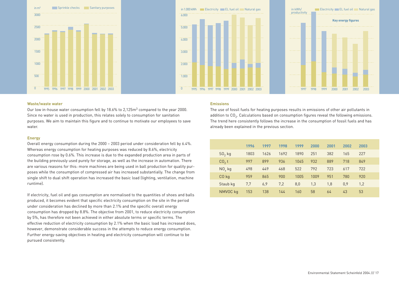





#### **Waste/waste water**

Our low in-house water consumption fell by 18.6% to 2,125m<sup>3</sup> compared to the year 2000. Since no water is used in production, this relates solely to consumption for sanitation purposes. We aim to maintain this figure and to continue to motivate our employees to save water.

#### **Energy**

Overall energy consumption during the 2000 – 2003 period under consideration fell by 6.4%. Whereas energy consumption for heating purposes was reduced by 8.6%, electricity consumption rose by 0.6%. This increase is due to the expanded production area in parts of the building previously used purely for storage, as well as the increase in automation. There are various reasons for this: more machines are being used in ball production for quality purposes while the consumption of compressed air has increased substantially. The change from single shift to dual shift operation has increased the basic load (lighting, ventilation, machine runtime).

If electricity, fuel oil and gas consumption are normalised to the quantities of shoes and balls produced, it becomes evident that specific electricity consumption on the site in the period under consideration has declined by more than 2.1% and the specific overall energy consumption has dropped by 8.8%. The objective from 2001, to reduce electricity consumption by 5%, has therefore not been achieved in either absolute terms or specific terms. The effective reduction of electricity consumption by 2.1% when the basic load has increased does, however, demonstrate considerable success in the attempts to reduce energy consumption. Further energy-saving objectives in heating and electricity consumption will continue to be pursued consistently.

#### **Emissions**

The use of fossil fuels for heating purposes results in emissions of other air pollutants in addition to CO<sub>2</sub>. Calculations based on consumption figures reveal the following emissions. The trend here consistently follows the increase in the consumption of fossil fuels and has already been explained in the previous section.

|          | 1996 | 1997 | 1998 | 1999 | 2000 | 2001 | 2002 | 2003 |  |
|----------|------|------|------|------|------|------|------|------|--|
| $SO2$ kg | 1803 | 1626 | 1692 | 1890 | 251  | 382  | 165  | 227  |  |
| $CO2$ t  | 997  | 899  | 936  | 1045 | 932  | 889  | 718  | 849  |  |
| $NOx$ kg | 498  | 449  | 468  | 522  | 792  | 723  | 617  | 722  |  |
| CO kg    | 959  | 865  | 900  | 1005 | 1009 | 951  | 780  | 920  |  |
| Staub kg | 7.7  | 6,9  | 7,2  | 8,0  | 1,3  | 1,8  | 0,9  | 1,2  |  |
| NMVOC kg | 153  | 138  | 144  | 160  | 58   | 64   | 43   | 53   |  |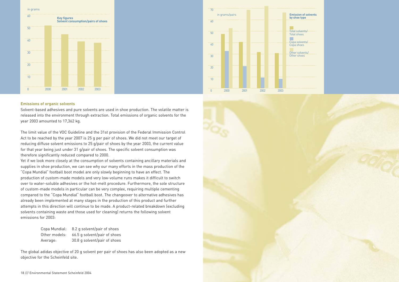

#### 2000 2001 2002 2003 in grams/pairs  $\theta$ 10 20  $\frac{1}{30}$ 40  $\overline{50}$ 60 70 **Emission of solvents by shoe type** Other solvents/ Other shoes Copa solvents/ Copa shoes Total solvents/ Total shoes

#### **Emissions of organic solvents**

Solvent-based adhesives and pure solvents are used in shoe production. The volatile matter is released into the environment through extraction. Total emissions of organic solvents for the year 2003 amounted to 17,362 kg.

The limit value of the VOC Guideline and the 31st provision of the Federal Immission Control Act to be reached by the year 2007 is 25 g per pair of shoes. We did not meet our target of reducing diffuse solvent emissions to 25 g/pair of shoes by the year 2003, the current value for that year being just under 31 g/pair of shoes. The specific solvent consumption was therefore significantly reduced compared to 2000.

Yet if we look more closely at the consumption of solvents containing ancillary materials and supplies in shoe production, we can see why our many efforts in the mass production of the "Copa Mundial" football boot model are only slowly beginning to have an effect. The production of custom-made models and very low-volume runs makes it difficult to switch over to water-soluble adhesives or the hot-melt procedure. Furthermore, the sole structure of custom-made models in particular can be very complex, requiring multiple cementing compared to the "Copa Mundial" football boot. The changeover to alternative adhesives has already been implemented at many stages in the production of this product and further attempts in this direction will continue to be made. A product-related breakdown (excluding solvents containing waste and those used for cleaning) returns the following solvent emissions for 2003:

> Copa Mundial: 8.2 g solvent/pair of shoes Other models: 66.5 g solvent/pair of shoes Average: 30.8 g solvent/pair of shoes

The global adidas objective of 20 g solvent per pair of shoes has also been adopted as a new objective for the Scheinfeld site.

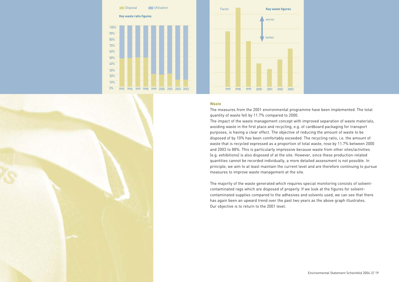





#### **Waste**

The measures from the 2001 environmental programme have been implemented. The total quantity of waste fell by 11.7% compared to 2000.

The impact of the waste management concept with improved separation of waste materials, avoiding waste in the first place and recycling, e.g. of cardboard packaging for transport purposes, is having a clear effect. The objective of reducing the amount of waste to be disposed of by 10% has been comfortably exceeded. The recycling ratio, i.e. the amount of waste that is recycled expressed as a proportion of total waste, rose by 11.7% between 2000 and 2003 to 88%. This is particularly impressive because waste from other sites/activities (e.g. exhibitions) is also disposed of at the site. However, since these production-related quantities cannot be recorded individually, a more detailed assessment is not possible. In principle, we aim to at least maintain the current level and are therefore continuing to pursue measures to improve waste management at the site.

The majority of the waste generated which requires special monitoring consists of solventcontaminated rags which are disposed of properly. If we look at the figures for solventcontaminated supplies compared to the adhesives and solvents used, we can see that there has again been an upward trend over the past two years as the above graph illustrates. Our objective is to return to the 2001 level.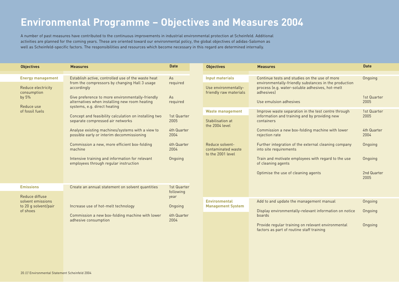# **Environmental Programme – Objectives and Measures 2004**

A number of past measures have contributed to the continuous improvements in industrial environmental protection at Scheinfeld. Additional activities are planned for the coming years. These are oriented toward our environmental policy, the global objectives of adidas-Salomon as well as Scheinfeld-specific factors. The responsibilities and resources which become necessary in this regard are determined internally.

| <b>Objectives</b>                                          | <b>Measures</b>                                                                                                                                                                                                                                                                                                                                      | <b>Date</b>         | <b>Objectives</b>                                          | <b>Measures</b>                                                                                        | <b>Date</b>         |
|------------------------------------------------------------|------------------------------------------------------------------------------------------------------------------------------------------------------------------------------------------------------------------------------------------------------------------------------------------------------------------------------------------------------|---------------------|------------------------------------------------------------|--------------------------------------------------------------------------------------------------------|---------------------|
|                                                            |                                                                                                                                                                                                                                                                                                                                                      |                     |                                                            |                                                                                                        |                     |
| <b>Energy management</b>                                   | Establish active, controlled use of the waste heat<br>from the compressors by changing Hall 3 usage<br>accordingly<br>Give preference to more environmentally-friendly<br>alternatives when installing new room heating<br>systems, e.g. direct heating<br>Concept and feasibility calculation on installing two<br>separate compressed air networks | As<br>required      | <b>Input materials</b>                                     | Continue tests and studies on the use of more<br>environmentally-friendly substances in the production | Ongoing             |
| Reduce electricity<br>consumption<br>by $5%$<br>Reduce use |                                                                                                                                                                                                                                                                                                                                                      | As<br>required      | Use environmentally-<br>friendly raw materials             | process (e.g. water-soluble adhesives, hot-melt<br>adhesives<br>Use emulsion adhesives                 | 1st Quarter<br>2005 |
| of fossil fuels                                            |                                                                                                                                                                                                                                                                                                                                                      |                     | <b>Waste management</b>                                    | Improve waste separation in the test centre through                                                    | 1st Quarter<br>2005 |
|                                                            |                                                                                                                                                                                                                                                                                                                                                      | 1st Quarter<br>2005 | Stabilisation at<br>the 2004 level                         | information and training and by providing new<br>containers                                            |                     |
|                                                            | Analyse existing machines/systems with a view to<br>possible early or interim decommissioning                                                                                                                                                                                                                                                        | 4th Quarter<br>2004 |                                                            | Commission a new box-folding machine with lower<br>rejection rate                                      | 4th Quarter<br>2004 |
|                                                            | Commission a new, more efficient box-folding<br>machine                                                                                                                                                                                                                                                                                              | 4th Quarter<br>2004 | Reduce solvent-<br>contaminated waste<br>to the 2001 level | Further integration of the external cleaning company<br>into site requirements                         | Ongoing             |
|                                                            | Intensive training and information for relevant<br>employees through regular instruction                                                                                                                                                                                                                                                             | Ongoing             |                                                            | Train and motivate employees with regard to the use<br>of cleaning agents                              | Ongoing             |
|                                                            |                                                                                                                                                                                                                                                                                                                                                      |                     |                                                            | Optimise the use of cleaning agents                                                                    | 2nd Quarter<br>2005 |
| <b>Emissions</b>                                           | Create an annual statement on solvent quantities                                                                                                                                                                                                                                                                                                     | 1st Quarter         |                                                            |                                                                                                        |                     |
| Reduce diffuse                                             |                                                                                                                                                                                                                                                                                                                                                      | following<br>year   |                                                            |                                                                                                        |                     |
| solvent emissions<br>to 20 g solvent/pair                  | Increase use of hot-melt technology                                                                                                                                                                                                                                                                                                                  | Ongoing             | <b>Environmental</b><br><b>Management System</b>           | Add to and update the management manual                                                                | Ongoing             |
| of shoes                                                   | Commission a new box-folding machine with lower<br>adhesive consumption                                                                                                                                                                                                                                                                              | 4th Quarter         |                                                            | Display environmentally-relevant information on notice<br>boards                                       | Ongoing             |
|                                                            |                                                                                                                                                                                                                                                                                                                                                      | 2004                |                                                            | Provide regular training on relevant environmental<br>factors as part of routine staff training        | Ongoing             |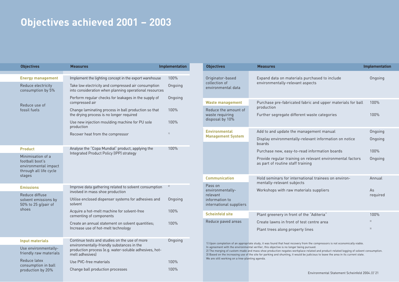# **Objectives achieved 2001 – 2003**

| <b>Objectives</b>                                                                                | <b>Measures</b>                                                                                                         | <b>Implementation</b> |
|--------------------------------------------------------------------------------------------------|-------------------------------------------------------------------------------------------------------------------------|-----------------------|
|                                                                                                  |                                                                                                                         |                       |
| <b>Energy management</b>                                                                         | Implement the lighting concept in the export warehouse                                                                  | 100%                  |
| Reduce electricity<br>consumption by 5%                                                          | Take low electricity and compressed air consumption<br>into consideration when planning operational resources           | Ongoing               |
| Reduce use of                                                                                    | Perform regular checks for leakages in the supply of<br>compressed air                                                  | Ongoing               |
| fossil fuels                                                                                     | Change laminating process in ball production so that<br>the drying process is no longer required                        | 100%                  |
|                                                                                                  | Use new injection moulding machine for PU sole<br>production                                                            | 100%                  |
|                                                                                                  | Recover heat from the compressor                                                                                        | 1]                    |
| <b>Product</b>                                                                                   | Analyse the "Copa Mundial" product, applying the                                                                        | 100%                  |
| Minimisation of a<br>football boot's<br>environmental impact<br>through all life cycle<br>stages | Integrated Product Policy (IPP) strategy                                                                                |                       |
| <b>Emissions</b>                                                                                 | Improve data gathering related to solvent consumption                                                                   | 2]                    |
| Reduce diffuse                                                                                   | involved in mass shoe production                                                                                        |                       |
| solvent emissions by<br>50% to 25 g/pair of                                                      | Utilise enclosed dispenser systems for adhesives and<br>solvent                                                         | Ongoing               |
| shoes                                                                                            | Acquire a hot-melt machine for solvent-free<br>cementing of components                                                  | 100%                  |
|                                                                                                  | Create an annual statement on solvent quantities;<br>Increase use of hot-melt technology                                | 100%                  |
| <b>Input materials</b>                                                                           | Continue tests and studies on the use of more                                                                           | Ongoing               |
| Use environmentally-<br>friendly raw materials                                                   | environmentally-friendly substances in the<br>production process (e.g. water-soluble adhesives, hot-<br>melt adhesives) |                       |
| Reduce latex                                                                                     | Use PVC-free materials                                                                                                  | 100%                  |
| consumption in ball<br>production by 20%                                                         | Change ball production processes                                                                                        | 100%                  |

| <b>Measures</b>                                                                                                                                                                                                                           | <b>Implementation</b>   | <b>Objectives</b>                                                                                            | <b>Measures</b>                                                                                                                                                                                                                                                 | Implementation                           |
|-------------------------------------------------------------------------------------------------------------------------------------------------------------------------------------------------------------------------------------------|-------------------------|--------------------------------------------------------------------------------------------------------------|-----------------------------------------------------------------------------------------------------------------------------------------------------------------------------------------------------------------------------------------------------------------|------------------------------------------|
| mplement the lighting concept in the export warehouse<br>Take low electricity and compressed air consumption<br>nto consideration when planning operational resources                                                                     | 100%<br>Ongoing         | Originator-based<br>collection of<br>environmental data                                                      | Expand data on materials purchased to include<br>environmentally-relevant aspects                                                                                                                                                                               | Ongoing                                  |
| Perform regular checks for leakages in the supply of<br>compressed air<br>Change laminating process in ball production so that<br>he drying process is no longer required<br>Jse new injection moulding machine for PU sole<br>production | Ongoing<br>100%<br>100% | <b>Waste management</b><br>Reduce the amount of<br>waste requiring<br>disposal by 10%                        | Purchase pre-fabricated fabric and upper materials for ball<br>production<br>Further segregate different waste categories                                                                                                                                       | 100%<br>100%                             |
| Recover heat from the compressor<br>Analyse the "Copa Mundial" product, applying the<br>ntegrated Product Policy (IPP) strategy                                                                                                           | 1]<br>100%              | <b>Environmental</b><br><b>Management System</b>                                                             | Add to and update the management manual<br>Display environmentally-relevant information on notice<br>boards<br>Purchase new, easy-to-read information boards<br>Provide regular training on relevant environmental factors<br>as part of routine staff training | Ongoing<br>Ongoing<br>100%<br>Ongoing    |
| mprove data gathering related to solvent consumption<br>nvolved in mass shoe production<br>Jtilise enclosed dispenser systems for adhesives and<br>solvent                                                                                | 2]<br>Ongoing           | <b>Communication</b><br>Pass on<br>environmentally-<br>relevant<br>information to<br>international suppliers | Hold seminars for international trainees on environ-<br>mentally-relevant subjects<br>Workshops with raw materials suppliers                                                                                                                                    | Annual<br>As<br>required                 |
| Acquire a hot-melt machine for solvent-free<br>cementing of components<br>Create an annual statement on solvent quantities;<br>ncrease use of hot-melt technology                                                                         | 100%<br>100%            | <b>Scheinfeld site</b><br>Reduce paved areas                                                                 | Plant greenery in front of the "Aditeria"<br>Create lawns in front of test centre area<br>Plant trees along property lines                                                                                                                                      | 100%<br>3 <sup>1</sup><br>3 <sup>1</sup> |

1) Upon completion of an appropriate study, it was found that heat recovery from the compressors is not economically viable. In agreement with the environmental verifier, this objective is no longer being pursued.

2) The merging of custom-made and mass shoe production negates workplace-related and product-related logging of solvent consumption. 3) Based on the increasing use of the site for parking and shunting, it would be judicious to leave the area in its current state. We are still working on a tree-planting agenda.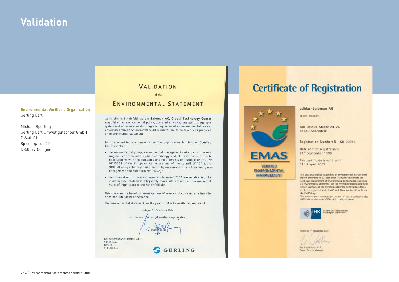## **Validation**

#### **Environmental Verifier's Organisation** Gerling Cert

Michael Sperling Gerling Cert Umweltgutachter GmbH D-V-0101 Spiesergasse 20 D-50597 Cologne

### **VALIDATION**

of the

### ENVIRONMENTAL STATEMENT

At its site in Scheinfeld, adidas-Salomon AG, Global Technology Center established an environmental policy, operated an environmental management system and an environmental program, implemented an environmental review, determined what environmental audit measures are to be taken, and prepared an environmental statement.

For the accredited environmental verifier organisation Mr. Michael Sperling has found that

- the environmental policy, environmental management system, environmental program, environmental audit methodology and the environmental statement conform with the standards and requirements of "Regulation (EC) No 761/2001 of the European Parliament and of the council of 19<sup>th</sup> March 2001 allowing voluntary participation by organisations in a Community ecomanagement and audit scheme (EMAS)".
- the information in the environmental statement 2004 are reliable and the environmental statement adequately takes into account all environmental issues of importance to the Scheinfeld site.

This statement is based on investigations of relevant documents, site installations and interviews of personnel.

The environmental statement for the year 2004 is herewith declared valid.

Cologne, 01. September 2004 For the environmental verifier organisation: Gerling Cert Umweltgutachter GmbH 50597 Köln D-V-0101 V1161/0904 **GERLING** 

# **Certificate of Registration**



#### adidas-Salomon AG

sports products

Adi-Dassler-Straße 24-26 91443 Scheinfeld

Registration-Number: D-158-00048

Date of first registration: 21<sup>st</sup> September 1998

This certificate is valid until 31<sup>st</sup> August 2007

This organisation has established an environmental management system according to EU-Regulation 761/2001 to promote the continual improvement of environmental performance, publishes an environmental statement, has the environmental management system verified and the environmental statement validated by a verifier, is registered under EMAS and therefore is entitled to use the EMAS-Logo.

The environmental management system of this organisation also fulfills the requirements of ISO 14001:1996, section 4.



Kümberg, 7<sup>16</sup> September 2004

Ass. Ursula Poller, M. A. **Deputy General Manager**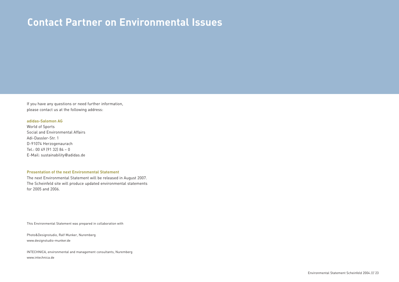### **Contact Partner on Environmental Issues**

If you have any questions or need further information, please contact us at the following address:

#### **adidas-Salomon AG**

World of Sports Social and Environmental Affairs Adi-Dassler-Str. 1 D-91074 Herzogenaurach Tel.: 00 49 (91 32) 84 – 0 E-Mail: sustainability@adidas.de

#### **Presentation of the next Environmental Statement**

The next Environmental Statement will be released in August 2007. The Scheinfeld site will produce updated environmental statements for 2005 and 2006.

This Environmental Statement was prepared in collaboration with

Photo&Designstudio, Ralf Munker, Nuremberg www.designstudio-munker.de

INTECHNICA, environmental and management consultants, Nuremberg www.intechnica.de